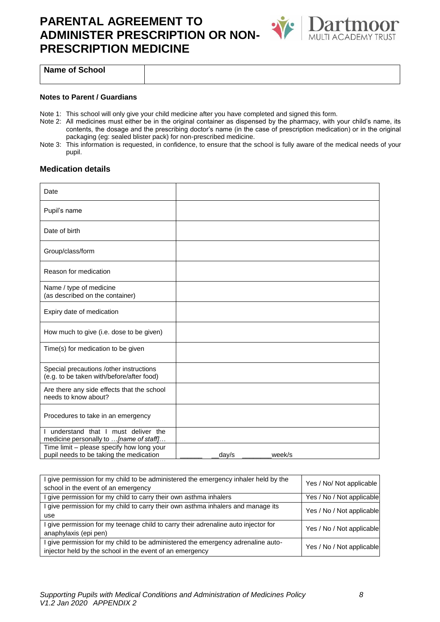## **PARENTAL AGREEMENT TO ADMINISTER PRESCRIPTION OR NON-PRESCRIPTION MEDICINE**



**Name of School**

#### **Notes to Parent / Guardians**

- Note 1: This school will only give your child medicine after you have completed and signed this form.
- Note 2: All medicines must either be in the original container as dispensed by the pharmacy, with your child's name, its contents, the dosage and the prescribing doctor's name (in the case of prescription medication) or in the original packaging (eg: sealed blister pack) for non-prescribed medicine.
- Note 3: This information is requested, in confidence, to ensure that the school is fully aware of the medical needs of your pupil.

#### **Medication details**

| Date                                                                                 |                 |
|--------------------------------------------------------------------------------------|-----------------|
| Pupil's name                                                                         |                 |
| Date of birth                                                                        |                 |
| Group/class/form                                                                     |                 |
| Reason for medication                                                                |                 |
| Name / type of medicine<br>(as described on the container)                           |                 |
| Expiry date of medication                                                            |                 |
| How much to give (i.e. dose to be given)                                             |                 |
| Time(s) for medication to be given                                                   |                 |
| Special precautions /other instructions<br>(e.g. to be taken with/before/after food) |                 |
| Are there any side effects that the school<br>needs to know about?                   |                 |
| Procedures to take in an emergency                                                   |                 |
| I understand that I must deliver the<br>medicine personally to  [name of staff]      |                 |
| Time limit - please specify how long your<br>pupil needs to be taking the medication | week/s<br>day/s |

| I give permission for my child to be administered the emergency inhaler held by the | Yes / No/ Not applicable  |
|-------------------------------------------------------------------------------------|---------------------------|
| school in the event of an emergency                                                 |                           |
| I give permission for my child to carry their own asthma inhalers                   | Yes / No / Not applicable |
| I give permission for my child to carry their own asthma inhalers and manage its    | Yes / No / Not applicable |
| use                                                                                 |                           |
| I give permission for my teenage child to carry their adrenaline auto injector for  | Yes / No / Not applicable |
| anaphylaxis (epi pen)                                                               |                           |
| I give permission for my child to be administered the emergency adrenaline auto-    | Yes / No / Not applicable |
| injector held by the school in the event of an emergency                            |                           |